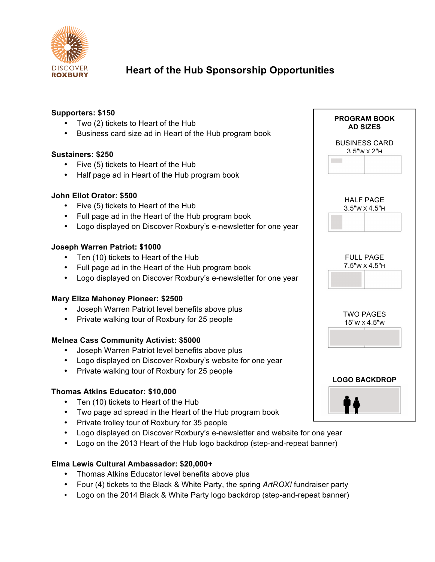

## **Heart of the Hub Sponsorship Opportunities**

#### **Supporters: \$150**

- Two (2) tickets to Heart of the Hub
- Business card size ad in Heart of the Hub program book

#### **Sustainers: \$250**

- Five (5) tickets to Heart of the Hub
- Half page ad in Heart of the Hub program book

#### **John Eliot Orator: \$500**

- Five (5) tickets to Heart of the Hub
- Full page ad in the Heart of the Hub program book
- Logo displayed on Discover Roxbury's e-newsletter for one year

#### **Joseph Warren Patriot: \$1000**

- Ten (10) tickets to Heart of the Hub
- Full page ad in the Heart of the Hub program book
- Logo displayed on Discover Roxbury's e-newsletter for one year

#### **Mary Eliza Mahoney Pioneer: \$2500**

- Joseph Warren Patriot level benefits above plus
- Private walking tour of Roxbury for 25 people

#### **Melnea Cass Community Activist: \$5000**

- Joseph Warren Patriot level benefits above plus
- Logo displayed on Discover Roxbury's website for one year
- Private walking tour of Roxbury for 25 people

#### **Thomas Atkins Educator: \$10,000**

- Ten (10) tickets to Heart of the Hub
- Two page ad spread in the Heart of the Hub program book
- Private trolley tour of Roxbury for 35 people
- Logo displayed on Discover Roxbury's e-newsletter and website for one year
- Logo on the 2013 Heart of the Hub logo backdrop (step-and-repeat banner)

#### **Elma Lewis Cultural Ambassador: \$20,000+**

- Thomas Atkins Educator level benefits above plus
- Four (4) tickets to the Black & White Party, the spring *ArtROX!* fundraiser party
- Logo on the 2014 Black & White Party logo backdrop (step-and-repeat banner)